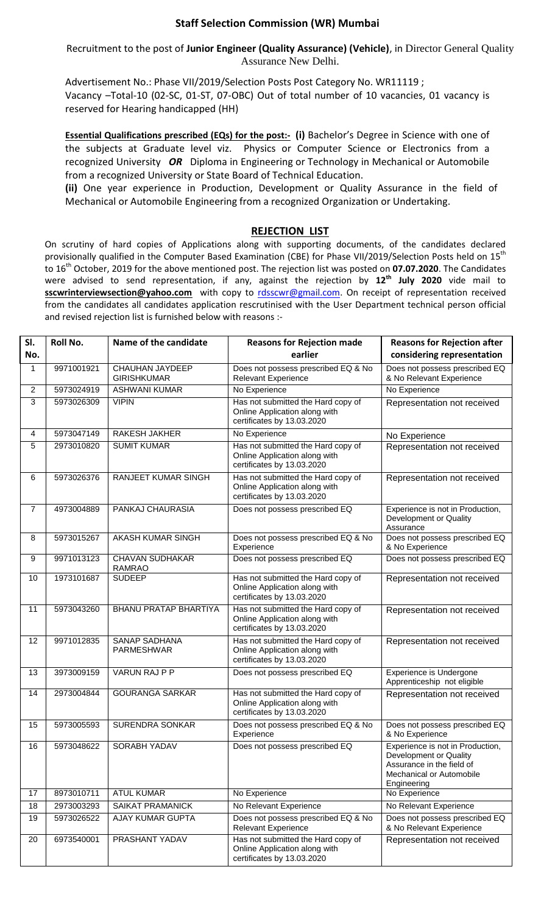## **Staff Selection Commission (WR) Mumbai**

Recruitment to the post of **Junior Engineer (Quality Assurance) (Vehicle)**, in Director General Quality Assurance New Delhi.

Advertisement No.: Phase VII/2019/Selection Posts Post Category No. WR11119 ; Vacancy –Total-10 (02-SC, 01-ST, 07-OBC) Out of total number of 10 vacancies, 01 vacancy is reserved for Hearing handicapped (HH)

**Essential Qualifications prescribed (EQs) for the post:- (i) Bachelor's Degree in Science with one of** the subjects at Graduate level viz. Physics or Computer Science or Electronics from a recognized University *OR* Diploma in Engineering or Technology in Mechanical or Automobile from a recognized University or State Board of Technical Education.

**(ii)** One year experience in Production, Development or Quality Assurance in the field of Mechanical or Automobile Engineering from a recognized Organization or Undertaking.

## **REJECTION LIST**

On scrutiny of hard copies of Applications along with supporting documents, of the candidates declared provisionally qualified in the Computer Based Examination (CBE) for Phase VII/2019/Selection Posts held on 15<sup>th</sup> to 16th October, 2019 for the above mentioned post. The rejection list was posted on **07.07.2020**. The Candidates were advised to send representation, if any, against the rejection by **12th July 2020** vide mail to sscwrinterviewsection@yahoo.com with copy to [rdsscwr@gmail.com.](mailto:rdsscwr@gmail.com) On receipt of representation received from the candidates all candidates application rescrutinised with the User Department technical person official and revised rejection list is furnished below with reasons :-

| SI.            | <b>Roll No.</b> | Name of the candidate                   | <b>Reasons for Rejection made</b>                                                                 | <b>Reasons for Rejection after</b>                                                                                                 |
|----------------|-----------------|-----------------------------------------|---------------------------------------------------------------------------------------------------|------------------------------------------------------------------------------------------------------------------------------------|
| No.            |                 |                                         | earlier                                                                                           | considering representation                                                                                                         |
| 1              | 9971001921      | CHAUHAN JAYDEEP<br><b>GIRISHKUMAR</b>   | Does not possess prescribed EQ & No<br><b>Relevant Experience</b>                                 | Does not possess prescribed EQ<br>& No Relevant Experience                                                                         |
| 2              | 5973024919      | <b>ASHWANI KUMAR</b>                    | No Experience                                                                                     | No Experience                                                                                                                      |
| 3              | 5973026309      | <b>VIPIN</b>                            | Has not submitted the Hard copy of<br>Online Application along with<br>certificates by 13.03.2020 | Representation not received                                                                                                        |
| 4              | 5973047149      | <b>RAKESH JAKHER</b>                    | No Experience                                                                                     | No Experience                                                                                                                      |
| 5              | 2973010820      | <b>SUMIT KUMAR</b>                      | Has not submitted the Hard copy of<br>Online Application along with<br>certificates by 13.03.2020 | Representation not received                                                                                                        |
| 6              | 5973026376      | RANJEET KUMAR SINGH                     | Has not submitted the Hard copy of<br>Online Application along with<br>certificates by 13.03.2020 | Representation not received                                                                                                        |
| $\overline{7}$ | 4973004889      | PANKAJ CHAURASIA                        | Does not possess prescribed EQ                                                                    | Experience is not in Production,<br>Development or Quality<br>Assurance                                                            |
| 8              | 5973015267      | <b>AKASH KUMAR SINGH</b>                | Does not possess prescribed EQ & No<br>Experience                                                 | Does not possess prescribed EQ<br>& No Experience                                                                                  |
| 9              | 9971013123      | <b>CHAVAN SUDHAKAR</b><br><b>RAMRAO</b> | Does not possess prescribed EQ                                                                    | Does not possess prescribed EQ                                                                                                     |
| 10             | 1973101687      | <b>SUDEEP</b>                           | Has not submitted the Hard copy of<br>Online Application along with<br>certificates by 13.03.2020 | Representation not received                                                                                                        |
| 11             | 5973043260      | <b>BHANU PRATAP BHARTIYA</b>            | Has not submitted the Hard copy of<br>Online Application along with<br>certificates by 13.03.2020 | Representation not received                                                                                                        |
| 12             | 9971012835      | SANAP SADHANA<br>PARMESHWAR             | Has not submitted the Hard copy of<br>Online Application along with<br>certificates by 13.03.2020 | Representation not received                                                                                                        |
| 13             | 3973009159      | <b>VARUN RAJ P P</b>                    | Does not possess prescribed EQ                                                                    | Experience is Undergone<br>Apprenticeship not eligible                                                                             |
| 14             | 2973004844      | <b>GOURANGA SARKAR</b>                  | Has not submitted the Hard copy of<br>Online Application along with<br>certificates by 13.03.2020 | Representation not received                                                                                                        |
| 15             | 5973005593      | <b>SURENDRA SONKAR</b>                  | Does not possess prescribed EQ & No<br>Experience                                                 | Does not possess prescribed EQ<br>& No Experience                                                                                  |
| 16             | 5973048622      | <b>SORABH YADAV</b>                     | Does not possess prescribed EQ                                                                    | Experience is not in Production,<br>Development or Quality<br>Assurance in the field of<br>Mechanical or Automobile<br>Engineering |
| 17             | 8973010711      | <b>ATUL KUMAR</b>                       | No Experience                                                                                     | No Experience                                                                                                                      |
| 18             | 2973003293      | SAIKAT PRAMANICK                        | No Relevant Experience                                                                            | No Relevant Experience                                                                                                             |
| 19             | 5973026522      | AJAY KUMAR GUPTA                        | Does not possess prescribed EQ & No<br><b>Relevant Experience</b>                                 | Does not possess prescribed EQ<br>& No Relevant Experience                                                                         |
| 20             | 6973540001      | PRASHANT YADAV                          | Has not submitted the Hard copy of<br>Online Application along with<br>certificates by 13.03.2020 | Representation not received                                                                                                        |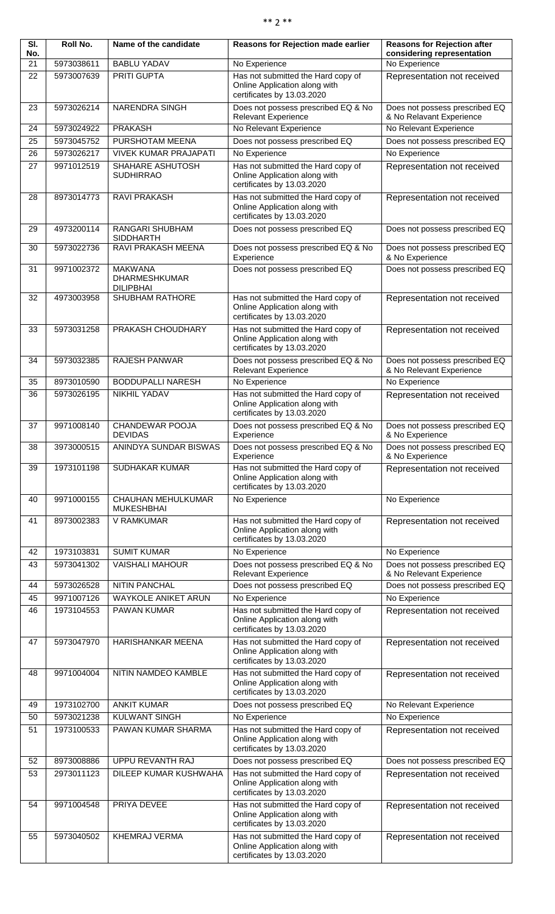| $**$ |  |  |  | ** |
|------|--|--|--|----|
|------|--|--|--|----|

| $\overline{\mathsf{SI}}$ .<br>No. | Roll No.                 | Name of the candidate                                      | Reasons for Rejection made earlier                                                                | <b>Reasons for Rejection after</b><br>considering representation |
|-----------------------------------|--------------------------|------------------------------------------------------------|---------------------------------------------------------------------------------------------------|------------------------------------------------------------------|
| 21                                | 5973038611               | <b>BABLU YADAV</b>                                         | No Experience                                                                                     | No Experience                                                    |
| 22                                | 5973007639               | <b>PRITI GUPTA</b>                                         | Has not submitted the Hard copy of<br>Online Application along with<br>certificates by 13.03.2020 | Representation not received                                      |
| 23                                | 5973026214               | NARENDRA SINGH                                             | Does not possess prescribed EQ & No<br><b>Relevant Experience</b>                                 | Does not possess prescribed EQ<br>& No Relavant Experience       |
| 24                                | 5973024922<br>5973045752 | <b>PRAKASH</b><br>PURSHOTAM MEENA                          | No Relevant Experience                                                                            | No Relevant Experience                                           |
| 25<br>26                          | 5973026217               | <b>VIVEK KUMAR PRAJAPATI</b>                               | Does not possess prescribed EQ<br>No Experience                                                   | Does not possess prescribed EQ<br>No Experience                  |
| 27                                | 9971012519               | SHAHARE ASHUTOSH<br><b>SUDHIRRAO</b>                       | Has not submitted the Hard copy of<br>Online Application along with<br>certificates by 13.03.2020 | Representation not received                                      |
| 28                                | 8973014773               | RAVI PRAKASH                                               | Has not submitted the Hard copy of<br>Online Application along with<br>certificates by 13.03.2020 | Representation not received                                      |
| 29                                | 4973200114               | RANGARI SHUBHAM<br><b>SIDDHARTH</b>                        | Does not possess prescribed EQ                                                                    | Does not possess prescribed EQ                                   |
| 30                                | 5973022736               | <b>RAVI PRAKASH MEENA</b>                                  | Does not possess prescribed EQ & No<br>Experience                                                 | Does not possess prescribed EQ<br>& No Experience                |
| 31                                | 9971002372               | <b>MAKWANA</b><br><b>DHARMESHKUMAR</b><br><b>DILIPBHAI</b> | Does not possess prescribed EQ                                                                    | Does not possess prescribed EQ                                   |
| 32                                | 4973003958               | SHUBHAM RATHORE                                            | Has not submitted the Hard copy of<br>Online Application along with<br>certificates by 13.03.2020 | Representation not received                                      |
| 33                                | 5973031258               | PRAKASH CHOUDHARY                                          | Has not submitted the Hard copy of<br>Online Application along with<br>certificates by 13.03.2020 | Representation not received                                      |
| 34                                | 5973032385               | <b>RAJESH PANWAR</b>                                       | Does not possess prescribed EQ & No<br><b>Relevant Experience</b>                                 | Does not possess prescribed EQ<br>& No Relevant Experience       |
| 35                                | 8973010590               | <b>BODDUPALLI NARESH</b>                                   | No Experience                                                                                     | No Experience                                                    |
| 36                                | 5973026195               | <b>NIKHIL YADAV</b>                                        | Has not submitted the Hard copy of<br>Online Application along with<br>certificates by 13.03.2020 | Representation not received                                      |
| 37                                | 9971008140               | CHANDEWAR POOJA<br><b>DEVIDAS</b>                          | Does not possess prescribed EQ & No<br>Experience                                                 | Does not possess prescribed EQ<br>& No Experience                |
| 38                                | 3973000515               | <b>ANINDYA SUNDAR BISWAS</b>                               | Does not possess prescribed EQ & No<br>Experience                                                 | Does not possess prescribed EQ<br>& No Experience                |
| 39                                | 1973101198               | SUDHAKAR KUMAR                                             | Has not submitted the Hard copy of<br>Online Application along with<br>certificates by 13.03.2020 | Representation not received                                      |
| 40                                | 9971000155               | <b>CHAUHAN MEHULKUMAR</b><br><b>MUKESHBHAI</b>             | No Experience                                                                                     | No Experience                                                    |
| 41                                | 8973002383               | V RAMKUMAR                                                 | Has not submitted the Hard copy of<br>Online Application along with<br>certificates by 13.03.2020 | Representation not received                                      |
| 42                                | 1973103831               | <b>SUMIT KUMAR</b>                                         | No Experience                                                                                     | No Experience                                                    |
| 43                                | 5973041302               | <b>VAISHALI MAHOUR</b>                                     | Does not possess prescribed EQ & No<br><b>Relevant Experience</b>                                 | Does not possess prescribed EQ<br>& No Relevant Experience       |
| 44                                | 5973026528               | <b>NITIN PANCHAL</b>                                       | Does not possess prescribed EQ                                                                    | Does not possess prescribed EQ                                   |
| 45                                | 9971007126               | WAYKOLE ANIKET ARUN                                        | No Experience                                                                                     | No Experience                                                    |
| 46                                | 1973104553               | PAWAN KUMAR                                                | Has not submitted the Hard copy of<br>Online Application along with<br>certificates by 13.03.2020 | Representation not received                                      |
| 47                                | 5973047970               | HARISHANKAR MEENA                                          | Has not submitted the Hard copy of<br>Online Application along with<br>certificates by 13.03.2020 | Representation not received                                      |
| 48                                | 9971004004               | NITIN NAMDEO KAMBLE                                        | Has not submitted the Hard copy of<br>Online Application along with<br>certificates by 13.03.2020 | Representation not received                                      |
| 49                                | 1973102700               | <b>ANKIT KUMAR</b>                                         | Does not possess prescribed EQ                                                                    | No Relevant Experience                                           |
| 50                                | 5973021238               | <b>KULWANT SINGH</b>                                       | No Experience                                                                                     | No Experience                                                    |
| 51                                | 1973100533               | PAWAN KUMAR SHARMA                                         | Has not submitted the Hard copy of<br>Online Application along with<br>certificates by 13.03.2020 | Representation not received                                      |
| 52                                | 8973008886               | <b>UPPU REVANTH RAJ</b>                                    | Does not possess prescribed EQ                                                                    | Does not possess prescribed EQ                                   |
| 53                                | 2973011123               | DILEEP KUMAR KUSHWAHA                                      | Has not submitted the Hard copy of<br>Online Application along with<br>certificates by 13.03.2020 | Representation not received                                      |
| 54                                | 9971004548               | PRIYA DEVEE                                                | Has not submitted the Hard copy of<br>Online Application along with<br>certificates by 13.03.2020 | Representation not received                                      |
| 55                                | 5973040502               | <b>KHEMRAJ VERMA</b>                                       | Has not submitted the Hard copy of<br>Online Application along with<br>certificates by 13.03.2020 | Representation not received                                      |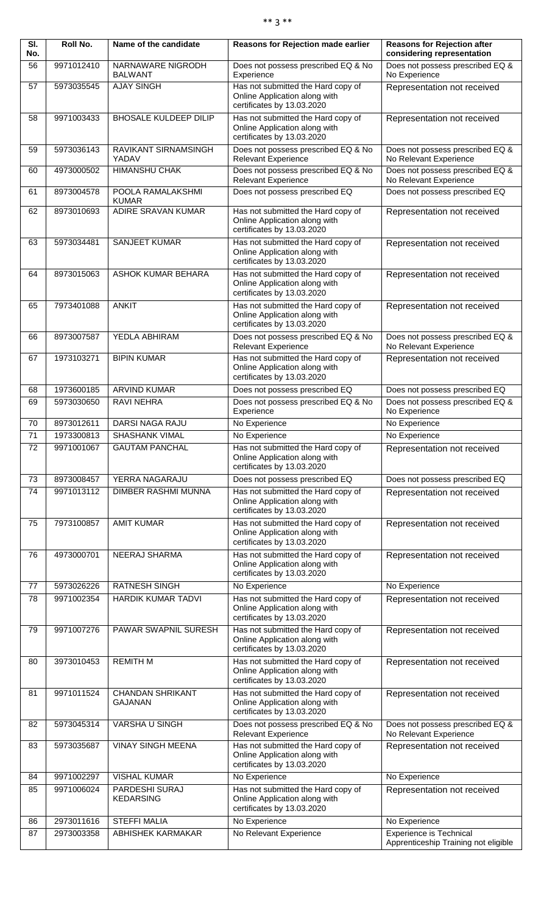| $**$ | $**$ |
|------|------|
|------|------|

| SI.<br>No. | Roll No.   | Name of the candidate               | Reasons for Rejection made earlier                                                                | <b>Reasons for Rejection after</b><br>considering representation       |
|------------|------------|-------------------------------------|---------------------------------------------------------------------------------------------------|------------------------------------------------------------------------|
| 56         | 9971012410 | NARNAWARE NIGRODH<br><b>BALWANT</b> | Does not possess prescribed EQ & No<br>Experience                                                 | Does not possess prescribed EQ &<br>No Experience                      |
| 57         | 5973035545 | <b>AJAY SINGH</b>                   | Has not submitted the Hard copy of<br>Online Application along with<br>certificates by 13.03.2020 | Representation not received                                            |
| 58         | 9971003433 | <b>BHOSALE KULDEEP DILIP</b>        | Has not submitted the Hard copy of<br>Online Application along with<br>certificates by 13.03.2020 | Representation not received                                            |
| 59         | 5973036143 | RAVIKANT SIRNAMSINGH<br>YADAV       | Does not possess prescribed EQ & No<br><b>Relevant Experience</b>                                 | Does not possess prescribed EQ &<br>No Relevant Experience             |
| 60         | 4973000502 | <b>HIMANSHU CHAK</b>                | Does not possess prescribed EQ & No<br><b>Relevant Experience</b>                                 | Does not possess prescribed EQ &<br>No Relevant Experience             |
| 61         | 8973004578 | POOLA RAMALAKSHMI<br><b>KUMAR</b>   | Does not possess prescribed EQ                                                                    | Does not possess prescribed EQ                                         |
| 62         | 8973010693 | ADIRE SRAVAN KUMAR                  | Has not submitted the Hard copy of<br>Online Application along with<br>certificates by 13.03.2020 | Representation not received                                            |
| 63         | 5973034481 | <b>SANJEET KUMAR</b>                | Has not submitted the Hard copy of<br>Online Application along with<br>certificates by 13.03.2020 | Representation not received                                            |
| 64         | 8973015063 | ASHOK KUMAR BEHARA                  | Has not submitted the Hard copy of<br>Online Application along with<br>certificates by 13.03.2020 | Representation not received                                            |
| 65         | 7973401088 | <b>ANKIT</b>                        | Has not submitted the Hard copy of<br>Online Application along with<br>certificates by 13.03.2020 | Representation not received                                            |
| 66         | 8973007587 | YEDLA ABHIRAM                       | Does not possess prescribed EQ & No<br><b>Relevant Experience</b>                                 | Does not possess prescribed EQ &<br>No Relevant Experience             |
| 67         | 1973103271 | <b>BIPIN KUMAR</b>                  | Has not submitted the Hard copy of<br>Online Application along with<br>certificates by 13.03.2020 | Representation not received                                            |
| 68         | 1973600185 | <b>ARVIND KUMAR</b>                 | Does not possess prescribed EQ                                                                    | Does not possess prescribed EQ                                         |
| 69         | 5973030650 | <b>RAVI NEHRA</b>                   | Does not possess prescribed EQ & No                                                               | Does not possess prescribed EQ &                                       |
| 70         | 8973012611 | <b>DARSI NAGA RAJU</b>              | Experience<br>No Experience                                                                       | No Experience<br>No Experience                                         |
| 71         | 1973300813 | <b>SHASHANK VIMAL</b>               | No Experience                                                                                     | No Experience                                                          |
| 72         | 9971001067 | <b>GAUTAM PANCHAL</b>               | Has not submitted the Hard copy of<br>Online Application along with<br>certificates by 13.03.2020 | Representation not received                                            |
| 73         | 8973008457 | YERRA NAGARAJU                      | Does not possess prescribed EQ                                                                    | Does not possess prescribed EQ                                         |
| 74         | 9971013112 | DIMBER RASHMI MUNNA                 | Has not submitted the Hard copy of<br>Online Application along with<br>certificates by 13.03.2020 | Representation not received                                            |
| 75         | 7973100857 | <b>AMIT KUMAR</b>                   | Has not submitted the Hard copy of<br>Online Application along with<br>certificates by 13.03.2020 | Representation not received                                            |
| 76         | 4973000701 | NEERAJ SHARMA                       | Has not submitted the Hard copy of<br>Online Application along with<br>certificates by 13.03.2020 | Representation not received                                            |
| 77         | 5973026226 | <b>RATNESH SINGH</b>                | No Experience                                                                                     | No Experience                                                          |
| 78         | 9971002354 | HARDIK KUMAR TADVI                  | Has not submitted the Hard copy of<br>Online Application along with<br>certificates by 13.03.2020 | Representation not received                                            |
| 79         | 9971007276 | PAWAR SWAPNIL SURESH                | Has not submitted the Hard copy of<br>Online Application along with<br>certificates by 13.03.2020 | Representation not received                                            |
| 80         | 3973010453 | <b>REMITH M</b>                     | Has not submitted the Hard copy of<br>Online Application along with<br>certificates by 13.03.2020 | Representation not received                                            |
| 81         | 9971011524 | <b>CHANDAN SHRIKANT</b><br>GAJANAN  | Has not submitted the Hard copy of<br>Online Application along with<br>certificates by 13.03.2020 | Representation not received                                            |
| 82         | 5973045314 | VARSHA U SINGH                      | Does not possess prescribed EQ & No<br><b>Relevant Experience</b>                                 | Does not possess prescribed EQ &<br>No Relevant Experience             |
| 83         | 5973035687 | <b>VINAY SINGH MEENA</b>            | Has not submitted the Hard copy of<br>Online Application along with<br>certificates by 13.03.2020 | Representation not received                                            |
| 84         | 9971002297 | <b>VISHAL KUMAR</b>                 | No Experience                                                                                     | No Experience                                                          |
| 85         | 9971006024 | PARDESHI SURAJ<br><b>KEDARSING</b>  | Has not submitted the Hard copy of<br>Online Application along with<br>certificates by 13.03.2020 | Representation not received                                            |
| 86         | 2973011616 | <b>STEFFI MALIA</b>                 | No Experience                                                                                     | No Experience                                                          |
| 87         | 2973003358 | ABHISHEK KARMAKAR                   | No Relevant Experience                                                                            | <b>Experience is Technical</b><br>Apprenticeship Training not eligible |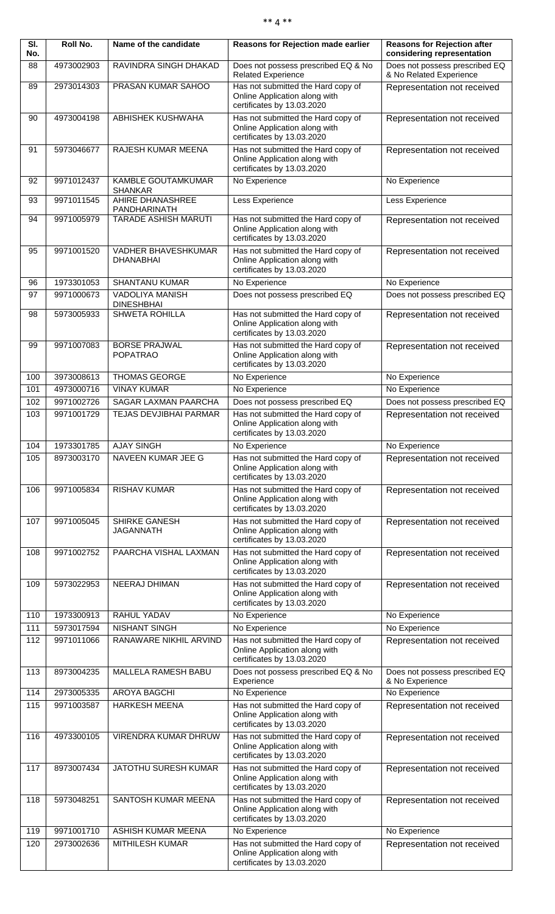|  | ** 4 ** |
|--|---------|
|  |         |

| $\overline{\mathsf{SI}}$ .<br>No. | <b>Roll No.</b>       | Name of the candidate                    | Reasons for Rejection made earlier                                                                | <b>Reasons for Rejection after</b><br>considering representation |
|-----------------------------------|-----------------------|------------------------------------------|---------------------------------------------------------------------------------------------------|------------------------------------------------------------------|
| 88                                | 4973002903            | RAVINDRA SINGH DHAKAD                    | Does not possess prescribed EQ & No<br><b>Related Experience</b>                                  | Does not possess prescribed EQ<br>& No Related Experience        |
| 89                                | 2973014303            | PRASAN KUMAR SAHOO                       | Has not submitted the Hard copy of<br>Online Application along with<br>certificates by 13.03.2020 | Representation not received                                      |
| 90                                | 4973004198            | <b>ABHISHEK KUSHWAHA</b>                 | Has not submitted the Hard copy of<br>Online Application along with<br>certificates by 13.03.2020 | Representation not received                                      |
| 91                                | 5973046677            | RAJESH KUMAR MEENA                       | Has not submitted the Hard copy of<br>Online Application along with<br>certificates by 13.03.2020 | Representation not received                                      |
| 92                                | 9971012437            | KAMBLE GOUTAMKUMAR<br><b>SHANKAR</b>     | No Experience                                                                                     | No Experience                                                    |
| 93                                | 9971011545            | AHIRE DHANASHREE<br>PANDHARINATH         | Less Experience                                                                                   | Less Experience                                                  |
| 94                                | 9971005979            | <b>TARADE ASHISH MARUTI</b>              | Has not submitted the Hard copy of<br>Online Application along with<br>certificates by 13.03.2020 | Representation not received                                      |
| 95                                | 9971001520            | VADHER BHAVESHKUMAR<br><b>DHANABHAI</b>  | Has not submitted the Hard copy of<br>Online Application along with<br>certificates by 13.03.2020 | Representation not received                                      |
| 96                                | 1973301053            | <b>SHANTANU KUMAR</b>                    | No Experience                                                                                     | No Experience                                                    |
| 97                                | 9971000673            | VADOLIYA MANISH<br><b>DINESHBHAI</b>     | Does not possess prescribed EQ                                                                    | Does not possess prescribed EQ                                   |
| 98                                | 5973005933            | <b>SHWETA ROHILLA</b>                    | Has not submitted the Hard copy of<br>Online Application along with<br>certificates by 13.03.2020 | Representation not received                                      |
| 99                                | 9971007083            | <b>BORSE PRAJWAL</b><br><b>POPATRAO</b>  | Has not submitted the Hard copy of<br>Online Application along with<br>certificates by 13.03.2020 | Representation not received                                      |
| 100                               | 3973008613            | <b>THOMAS GEORGE</b>                     | No Experience                                                                                     | No Experience                                                    |
| 101                               | 4973000716            | <b>VINAY KUMAR</b>                       | No Experience                                                                                     | No Experience                                                    |
| 102                               | 9971002726            | <b>SAGAR LAXMAN PAARCHA</b>              | Does not possess prescribed EQ                                                                    | Does not possess prescribed EQ                                   |
| 103                               | 9971001729            | TEJAS DEVJIBHAI PARMAR                   | Has not submitted the Hard copy of<br>Online Application along with<br>certificates by 13.03.2020 | Representation not received                                      |
| 104                               | 1973301785 AJAY SINGH |                                          | No Experience                                                                                     | No Experience                                                    |
| 105                               | 8973003170            | NAVEEN KUMAR JEE G                       | Has not submitted the Hard copy of<br>Online Application along with<br>certificates by 13.03.2020 | Representation not received                                      |
| 106                               | 9971005834            | <b>RISHAV KUMAR</b>                      | Has not submitted the Hard copy of<br>Online Application along with<br>certificates by 13.03.2020 | Representation not received                                      |
| 107                               | 9971005045            | <b>SHIRKE GANESH</b><br><b>JAGANNATH</b> | Has not submitted the Hard copy of<br>Online Application along with<br>certificates by 13.03.2020 | Representation not received                                      |
| 108                               | 9971002752            | PAARCHA VISHAL LAXMAN                    | Has not submitted the Hard copy of<br>Online Application along with<br>certificates by 13.03.2020 | Representation not received                                      |
| 109                               | 5973022953            | NEERAJ DHIMAN                            | Has not submitted the Hard copy of<br>Online Application along with<br>certificates by 13.03.2020 | Representation not received                                      |
| 110                               | 1973300913            | RAHUL YADAV                              | No Experience                                                                                     | No Experience                                                    |
| 111                               | 5973017594            | <b>NISHANT SINGH</b>                     | No Experience                                                                                     | No Experience                                                    |
| 112                               | 9971011066            | RANAWARE NIKHIL ARVIND                   | Has not submitted the Hard copy of<br>Online Application along with<br>certificates by 13.03.2020 | Representation not received                                      |
| 113                               | 8973004235            | MALLELA RAMESH BABU                      | Does not possess prescribed EQ & No<br>Experience                                                 | Does not possess prescribed EQ<br>& No Experience                |
| 114                               | 2973005335            | AROYA BAGCHI                             | No Experience                                                                                     | No Experience                                                    |
| 115                               | 9971003587            | <b>HARKESH MEENA</b>                     | Has not submitted the Hard copy of<br>Online Application along with<br>certificates by 13.03.2020 | Representation not received                                      |
| 116                               | 4973300105            | VIRENDRA KUMAR DHRUW                     | Has not submitted the Hard copy of<br>Online Application along with<br>certificates by 13.03.2020 | Representation not received                                      |
| 117                               | 8973007434            | JATOTHU SURESH KUMAR                     | Has not submitted the Hard copy of<br>Online Application along with<br>certificates by 13.03.2020 | Representation not received                                      |
| 118                               | 5973048251            | SANTOSH KUMAR MEENA                      | Has not submitted the Hard copy of<br>Online Application along with<br>certificates by 13.03.2020 | Representation not received                                      |
| 119                               | 9971001710            | ASHISH KUMAR MEENA                       | No Experience                                                                                     | No Experience                                                    |
| 120                               | 2973002636            | <b>MITHILESH KUMAR</b>                   | Has not submitted the Hard copy of                                                                | Representation not received                                      |
|                                   |                       |                                          | Online Application along with<br>certificates by 13.03.2020                                       |                                                                  |